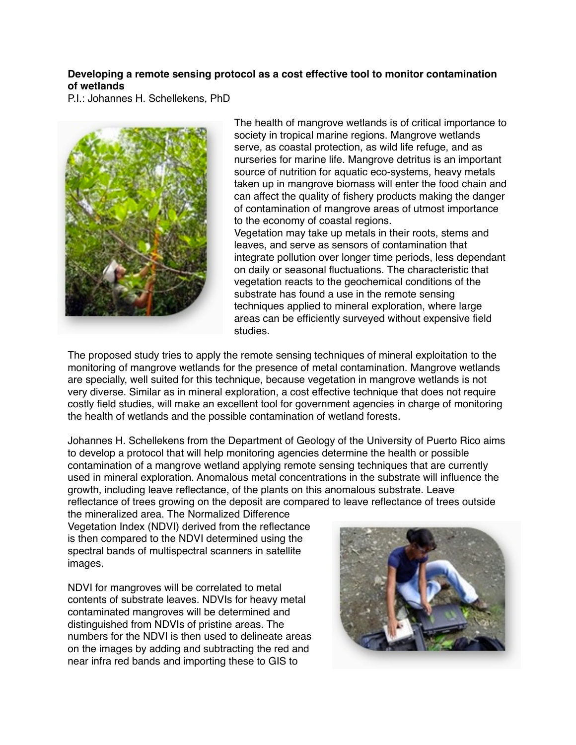## **Developing a remote sensing protocol as a cost effective tool to monitor contamination of wetlands**

P.I.: Johannes H. Schellekens, PhD



The health of mangrove wetlands is of critical importance to society in tropical marine regions. Mangrove wetlands serve, as coastal protection, as wild life refuge, and as nurseries for marine life. Mangrove detritus is an important source of nutrition for aquatic eco-systems, heavy metals taken up in mangrove biomass will enter the food chain and can affect the quality of fishery products making the danger of contamination of mangrove areas of utmost importance to the economy of coastal regions.

Vegetation may take up metals in their roots, stems and leaves, and serve as sensors of contamination that integrate pollution over longer time periods, less dependant on daily or seasonal fluctuations. The characteristic that vegetation reacts to the geochemical conditions of the substrate has found a use in the remote sensing techniques applied to mineral exploration, where large areas can be efficiently surveyed without expensive field studies.

The proposed study tries to apply the remote sensing techniques of mineral exploitation to the monitoring of mangrove wetlands for the presence of metal contamination. Mangrove wetlands are specially, well suited for this technique, because vegetation in mangrove wetlands is not very diverse. Similar as in mineral exploration, a cost effective technique that does not require costly field studies, will make an excellent tool for government agencies in charge of monitoring the health of wetlands and the possible contamination of wetland forests.

Johannes H. Schellekens from the Department of Geology of the University of Puerto Rico aims to develop a protocol that will help monitoring agencies determine the health or possible contamination of a mangrove wetland applying remote sensing techniques that are currently used in mineral exploration. Anomalous metal concentrations in the substrate will influence the growth, including leave reflectance, of the plants on this anomalous substrate. Leave reflectance of trees growing on the deposit are compared to leave reflectance of trees outside

the mineralized area. The Normalized Difference Vegetation Index (NDVI) derived from the reflectance is then compared to the NDVI determined using the spectral bands of multispectral scanners in satellite images.

NDVI for mangroves will be correlated to metal contents of substrate leaves. NDVIs for heavy metal contaminated mangroves will be determined and distinguished from NDVIs of pristine areas. The numbers for the NDVI is then used to delineate areas on the images by adding and subtracting the red and near infra red bands and importing these to GIS to